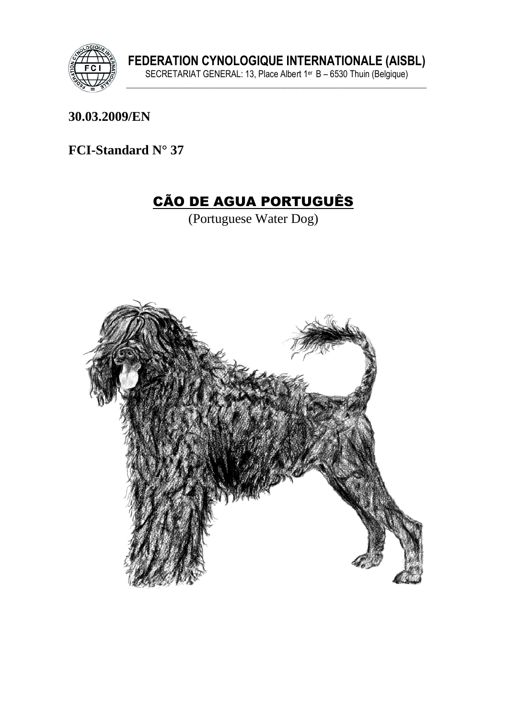

30.03.2009/EN

FCI-Standard N° 37

# CÃO DE AGUA PORTUGUÊS

(Portuguese Water Dog)

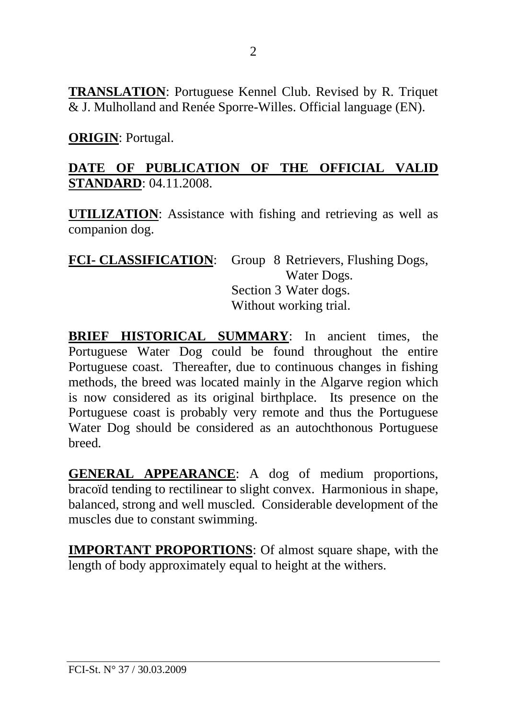**TRANSLATION**: Portuguese Kennel Club. Revised by R. Triquet & J. Mulholland and Renée Sporre-Willes. Official language (EN).

**ORIGIN**: Portugal.

## **DATE OF PUBLICATION OF THE OFFICIAL VALID STANDARD**: 04.11.2008.

**UTILIZATION**: Assistance with fishing and retrieving as well as companion dog.

| <b>FCI- CLASSIFICATION:</b> Group 8 Retrievers, Flushing Dogs, |  |
|----------------------------------------------------------------|--|
| Water Dogs.                                                    |  |
| Section 3 Water dogs.                                          |  |
| Without working trial.                                         |  |

**BRIEF HISTORICAL SUMMARY**: In ancient times, the Portuguese Water Dog could be found throughout the entire Portuguese coast. Thereafter, due to continuous changes in fishing methods, the breed was located mainly in the Algarve region which is now considered as its original birthplace. Its presence on the Portuguese coast is probably very remote and thus the Portuguese Water Dog should be considered as an autochthonous Portuguese breed.

**GENERAL APPEARANCE**: A dog of medium proportions, bracoïd tending to rectilinear to slight convex. Harmonious in shape, balanced, strong and well muscled. Considerable development of the muscles due to constant swimming.

**IMPORTANT PROPORTIONS**: Of almost square shape, with the length of body approximately equal to height at the withers.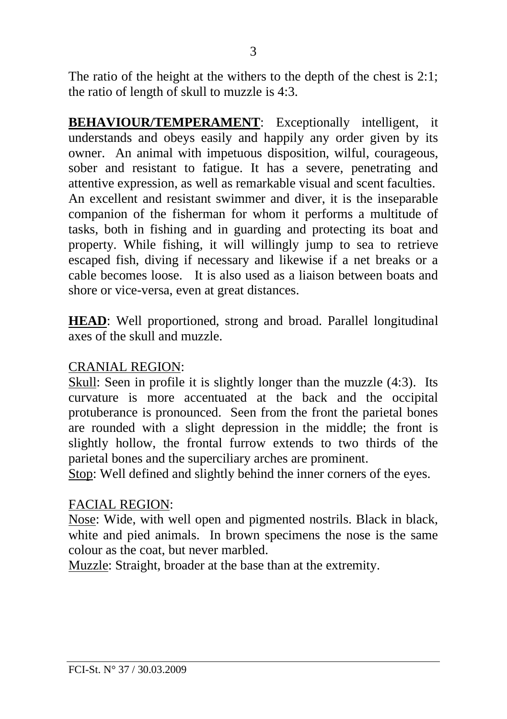The ratio of the height at the withers to the depth of the chest is 2:1; the ratio of length of skull to muzzle is 4:3.

**BEHAVIOUR/TEMPERAMENT**: Exceptionally intelligent, it understands and obeys easily and happily any order given by its owner. An animal with impetuous disposition, wilful, courageous, sober and resistant to fatigue. It has a severe, penetrating and attentive expression, as well as remarkable visual and scent faculties. An excellent and resistant swimmer and diver, it is the inseparable companion of the fisherman for whom it performs a multitude of tasks, both in fishing and in guarding and protecting its boat and property. While fishing, it will willingly jump to sea to retrieve escaped fish, diving if necessary and likewise if a net breaks or a cable becomes loose. It is also used as a liaison between boats and shore or vice-versa, even at great distances.

**HEAD**: Well proportioned, strong and broad. Parallel longitudinal axes of the skull and muzzle.

#### CRANIAL REGION:

Skull: Seen in profile it is slightly longer than the muzzle (4:3). Its curvature is more accentuated at the back and the occipital protuberance is pronounced. Seen from the front the parietal bones are rounded with a slight depression in the middle; the front is slightly hollow, the frontal furrow extends to two thirds of the parietal bones and the superciliary arches are prominent.

Stop: Well defined and slightly behind the inner corners of the eyes.

#### FACIAL REGION:

Nose: Wide, with well open and pigmented nostrils. Black in black, white and pied animals. In brown specimens the nose is the same colour as the coat, but never marbled.

Muzzle: Straight, broader at the base than at the extremity.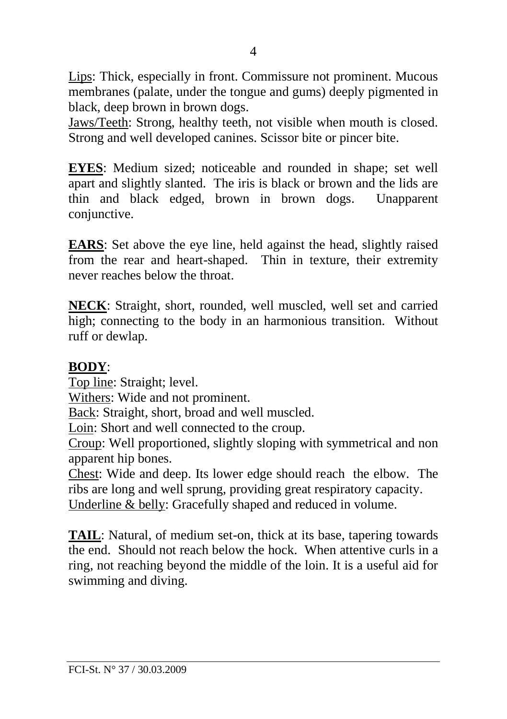Lips: Thick, especially in front. Commissure not prominent. Mucous membranes (palate, under the tongue and gums) deeply pigmented in black, deep brown in brown dogs.

Jaws/Teeth: Strong, healthy teeth, not visible when mouth is closed. Strong and well developed canines. Scissor bite or pincer bite.

**EYES**: Medium sized; noticeable and rounded in shape; set well apart and slightly slanted. The iris is black or brown and the lids are thin and black edged, brown in brown dogs. Unapparent conjunctive.

**EARS**: Set above the eye line, held against the head, slightly raised from the rear and heart-shaped. Thin in texture, their extremity never reaches below the throat.

**NECK**: Straight, short, rounded, well muscled, well set and carried high; connecting to the body in an harmonious transition. Without ruff or dewlap.

#### **BODY**:

Top line: Straight; level.

Withers: Wide and not prominent.

Back: Straight, short, broad and well muscled.

Loin: Short and well connected to the croup.

Croup: Well proportioned, slightly sloping with symmetrical and non apparent hip bones.

Chest: Wide and deep. Its lower edge should reach the elbow. The ribs are long and well sprung, providing great respiratory capacity. Underline & belly: Gracefully shaped and reduced in volume.

**TAIL**: Natural, of medium set-on, thick at its base, tapering towards the end. Should not reach below the hock. When attentive curls in a ring, not reaching beyond the middle of the loin. It is a useful aid for swimming and diving.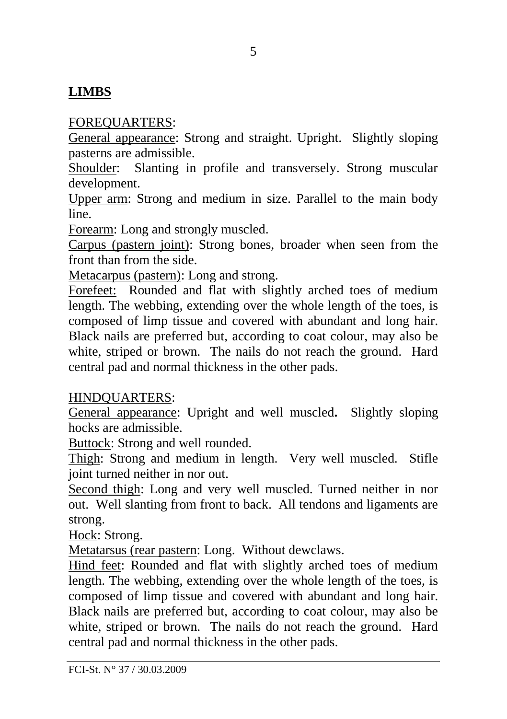# **LIMBS**

### FOREQUARTERS:

General appearance: Strong and straight. Upright. Slightly sloping pasterns are admissible.

Shoulder: Slanting in profile and transversely. Strong muscular development.

Upper arm: Strong and medium in size. Parallel to the main body line.

Forearm: Long and strongly muscled.

Carpus (pastern joint): Strong bones, broader when seen from the front than from the side.

Metacarpus (pastern): Long and strong.

Forefeet: Rounded and flat with slightly arched toes of medium length. The webbing, extending over the whole length of the toes, is composed of limp tissue and covered with abundant and long hair. Black nails are preferred but, according to coat colour, may also be white, striped or brown. The nails do not reach the ground. Hard central pad and normal thickness in the other pads.

### HINDQUARTERS:

General appearance: Upright and well muscled**.** Slightly sloping hocks are admissible.

Buttock: Strong and well rounded.

Thigh: Strong and medium in length. Very well muscled. Stifle joint turned neither in nor out.

Second thigh: Long and very well muscled. Turned neither in nor out. Well slanting from front to back. All tendons and ligaments are strong.

Hock: Strong.

Metatarsus (rear pastern: Long. Without dewclaws.

Hind feet: Rounded and flat with slightly arched toes of medium length. The webbing, extending over the whole length of the toes, is composed of limp tissue and covered with abundant and long hair. Black nails are preferred but, according to coat colour, may also be white, striped or brown. The nails do not reach the ground. Hard central pad and normal thickness in the other pads.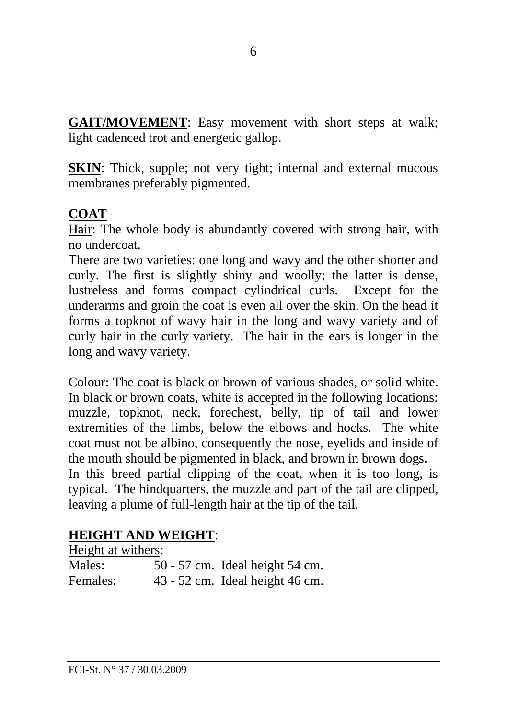**GAIT/MOVEMENT**: Easy movement with short steps at walk; light cadenced trot and energetic gallop.

**SKIN:** Thick, supple; not very tight; internal and external mucous membranes preferably pigmented.

# **COAT**

Hair: The whole body is abundantly covered with strong hair, with no undercoat.

There are two varieties: one long and wavy and the other shorter and curly. The first is slightly shiny and woolly; the latter is dense, lustreless and forms compact cylindrical curls. Except for the underarms and groin the coat is even all over the skin. On the head it forms a topknot of wavy hair in the long and wavy variety and of curly hair in the curly variety. The hair in the ears is longer in the long and wavy variety.

Colour: The coat is black or brown of various shades, or solid white. In black or brown coats, white is accepted in the following locations: muzzle, topknot, neck, forechest, belly, tip of tail and lower extremities of the limbs, below the elbows and hocks. The white coat must not be albino, consequently the nose, eyelids and inside of the mouth should be pigmented in black, and brown in brown dogs**.** In this breed partial clipping of the coat, when it is too long, is typical. The hindquarters, the muzzle and part of the tail are clipped, leaving a plume of full-length hair at the tip of the tail.

### **HEIGHT AND WEIGHT**:

| Height at withers: |                                 |
|--------------------|---------------------------------|
| Males:             | 50 - 57 cm. Ideal height 54 cm. |
| Females:           | 43 - 52 cm. Ideal height 46 cm. |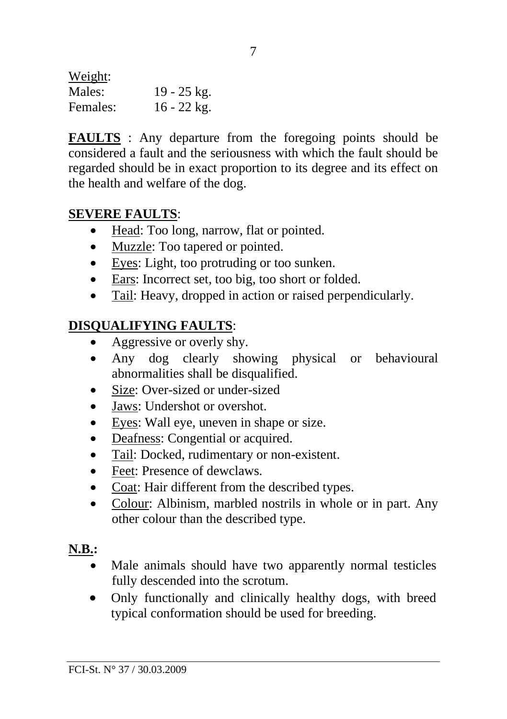Weight: Males: 19 - 25 kg. Females: 16 - 22 kg.

**FAULTS** : Any departure from the foregoing points should be considered a fault and the seriousness with which the fault should be regarded should be in exact proportion to its degree and its effect on the health and welfare of the dog.

#### **SEVERE FAULTS**:

- Head: Too long, narrow, flat or pointed.
- Muzzle: Too tapered or pointed.
- Eyes: Light, too protruding or too sunken.
- Ears: Incorrect set, too big, too short or folded.
- Tail: Heavy, dropped in action or raised perpendicularly.

# **DISQUALIFYING FAULTS**:

- Aggressive or overly shy.
- Any dog clearly showing physical or behavioural abnormalities shall be disqualified.
- Size: Over-sized or under-sized
- Jaws: Undershot or overshot.
- Eyes: Wall eye, uneven in shape or size.
- Deafness: Congential or acquired.
- Tail: Docked, rudimentary or non-existent.
- Feet: Presence of dewclaws.
- Coat: Hair different from the described types.
- Colour: Albinism, marbled nostrils in whole or in part. Any other colour than the described type.

# **N.B.:**

- Male animals should have two apparently normal testicles fully descended into the scrotum.
- Only functionally and clinically healthy dogs, with breed typical conformation should be used for breeding.